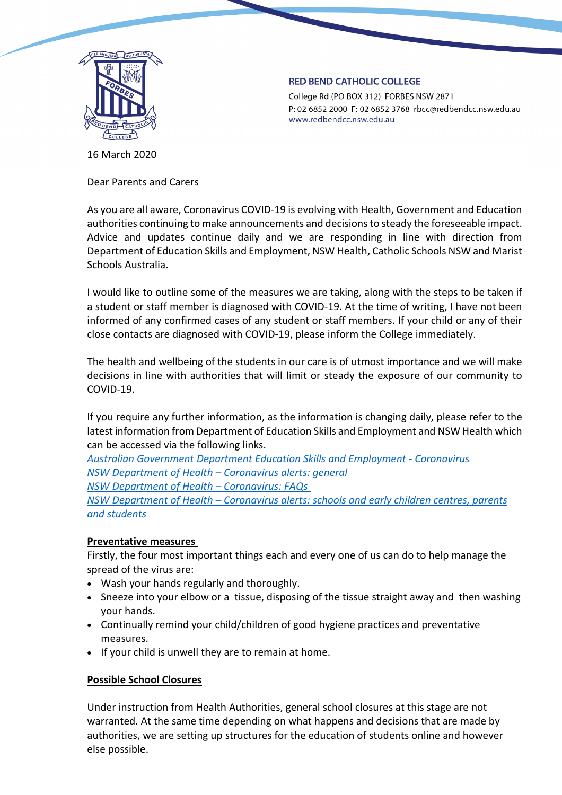

#### **RED BEND CATHOLIC COLLEGE**

College Rd (PO BOX 312) FORBES NSW 2871 P: 02 6852 2000 F: 02 6852 3768 rbcc@redbendcc.nsw.edu.au www.redbendcc.nsw.edu.au

16 March 2020

Dear Parents and Carers

As you are all aware, Coronavirus COVID-19 is evolving with Health, Government and Education authorities continuing to make announcements and decisions to steady the foreseeable impact. Advice and updates continue daily and we are responding in line with direction from Department of Education Skills and Employment, NSW Health, Catholic Schools NSW and Marist Schools Australia.

I would like to outline some of the measures we are taking, along with the steps to be taken if a student or staff member is diagnosed with COVID-19. At the time of writing, I have not been informed of any confirmed cases of any student or staff members. If your child or any of their close contacts are diagnosed with COVID-19, please inform the College immediately.

The health and wellbeing of the students in our care is of utmost importance and we will make decisions in line with authorities that will limit or steady the exposure of our community to COVID-19.

If you require any further information, as the information is changing daily, please refer to the latest information from Department of Education Skills and Employment and NSW Health which can be accessed via the following links.

*[Australian Government Department Education Skills and Employment -](https://www.dese.gov.au/news/coronavirus-covid-19?) Coronavirus [NSW Department of Health –](https://www.health.gov.au/news/health-alerts/novel-coronavirus-2019-ncov-health-alert) Coronavirus alerts: general*

*[NSW Department of Health –](https://www.health.nsw.gov.au/Infectious/alerts/Pages/coronavirus-faqs.aspx) Coronavirus: FAQs*

*NSW Department of Health – [Coronavirus alerts: schools and early children centres, parents](https://www.health.gov.au/resources/publications/coronavirus-covid-19-information-for-schools-and-early-childhood-centres)  [and students](https://www.health.gov.au/resources/publications/coronavirus-covid-19-information-for-schools-and-early-childhood-centres)*

# **Preventative measures**

Firstly, the four most important things each and every one of us can do to help manage the spread of the virus are:

- Wash your hands regularly and thoroughly.
- Sneeze into your elbow or a tissue, disposing of the tissue straight away and then washing your hands.
- Continually remind your child/children of good hygiene practices and preventative measures.
- If your child is unwell they are to remain at home.

# **Possible School Closures**

Under instruction from Health Authorities, general school closures at this stage are not warranted. At the same time depending on what happens and decisions that are made by authorities, we are setting up structures for the education of students online and however else possible.